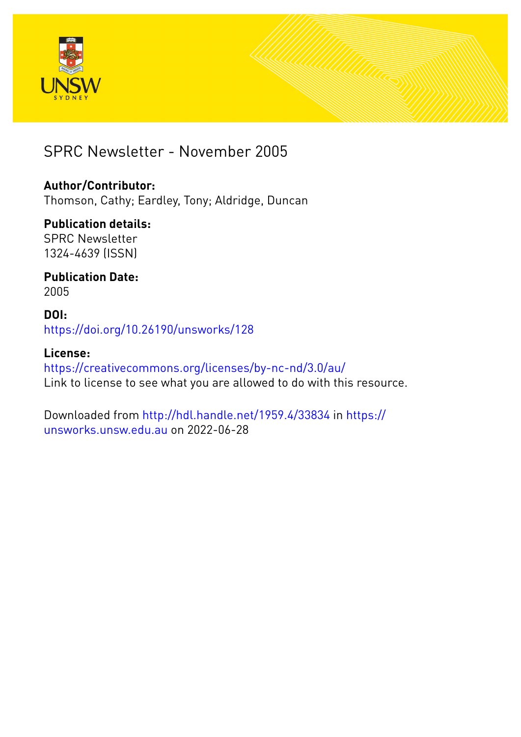



### SPRC Newsletter - November 2005

#### **Author/Contributor:**

Thomson, Cathy; Eardley, Tony; Aldridge, Duncan

### **Publication details:**

SPRC Newsletter 1324-4639 (ISSN)

#### **Publication Date:** 2005

#### **DOI:** [https://doi.org/10.26190/unsworks/128](http://dx.doi.org/https://doi.org/10.26190/unsworks/128)

#### **License:** <https://creativecommons.org/licenses/by-nc-nd/3.0/au/> Link to license to see what you are allowed to do with this resource.

Downloaded from <http://hdl.handle.net/1959.4/33834> in [https://](https://unsworks.unsw.edu.au) [unsworks.unsw.edu.au](https://unsworks.unsw.edu.au) on 2022-06-28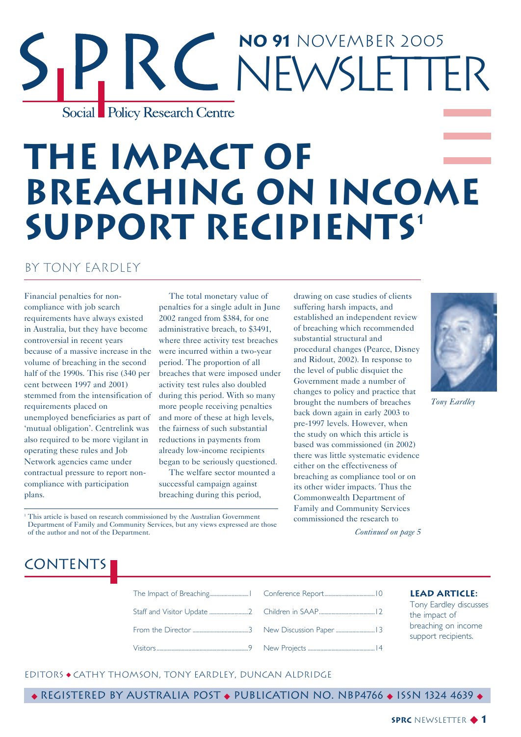## **No 91** November 2005 Newsletter Social Policy Research Centre

## **The Impact of Breaching on Income Support Recipients1**

#### by Tony Eardley

Financial penalties for noncompliance with job search requirements have always existed in Australia, but they have become controversial in recent years because of a massive increase in the volume of breaching in the second half of the 1990s. This rise (340 per cent between 1997 and 2001) stemmed from the intensification of requirements placed on unemployed beneficiaries as part of 'mutual obligation'. Centrelink was also required to be more vigilant in operating these rules and Job Network agencies came under contractual pressure to report noncompliance with participation plans.

The total monetary value of penalties for a single adult in June 2002 ranged from \$384, for one administrative breach, to \$3491, where three activity test breaches were incurred within a two-year period. The proportion of all breaches that were imposed under activity test rules also doubled during this period. With so many more people receiving penalties and more of these at high levels, the fairness of such substantial reductions in payments from already low-income recipients began to be seriously questioned. The welfare sector mounted a

successful campaign against breaching during this period, drawing on case studies of clients suffering harsh impacts, and established an independent review of breaching which recommended substantial structural and procedural changes (Pearce, Disney and Ridout, 2002). In response to the level of public disquiet the Government made a number of changes to policy and practice that brought the numbers of breaches back down again in early 2003 to pre-1997 levels. However, when the study on which this article is based was commissioned (in 2002) there was little systematic evidence either on the effectiveness of breaching as compliance tool or on its other wider impacts. Thus the Commonwealth Department of Family and Community Services commissioned the research to *Continued on page 5*



*Tony Eardley*

<sup>1</sup> This article is based on research commissioned by the Australian Government Department of Family and Community Services, but any views expressed are those of the author and not of the Department.

### **CONTENTS**

The Impact of Breaching............................1 Conference Report....................................10 Staff and Visitor Update ............................2 From the Director ........................................3 Visitors..................................................................9 Children in SAAP........................................12 New Discussion Paper ............................13 New Projects ................................................14

#### **Lead Article:**

Tony Eardley discusses the impact of breaching on income support recipients.

#### EditorS ◆ Cathy Thomson, Tony Eardley, Duncan Aldridge

◆ Registered by Australia Post ◆ Publication No. NBP4766 ◆ ISSN 1324 4639 ◆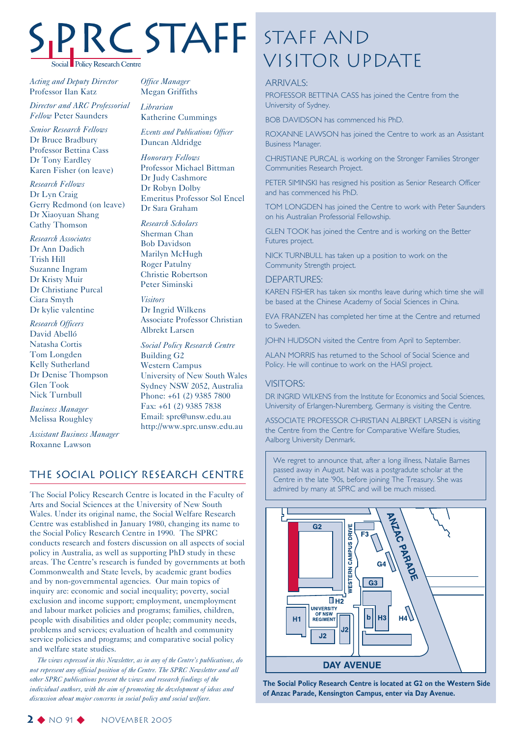# Social Policy Research Centre

*Acting and Deputy Director* Professor Ilan Katz

*Director and ARC Professorial Fellow* Peter Saunders

*Senior Research Fellows* Dr Bruce Bradbury Professor Bettina Cass Dr Tony Eardley Karen Fisher (on leave)

*Research Fellows* Dr Lyn Craig Gerry Redmond (on leave) Dr Xiaoyuan Shang Cathy Thomson

*Research Associates* Dr Ann Dadich Trish Hill Suzanne Ingram Dr Kristy Muir Dr Christiane Purcal Ciara Smyth Dr kylie valentine

*Research Officers* David Abelló Natasha Cortis Tom Longden Kelly Sutherland Dr Denise Thompson Glen Took Nick Turnbull

*Business Manager* Melissa Roughley

*Assistant Business Manager* Roxanne Lawson

*Office Manager* Megan Griffiths

*Librarian* Katherine Cummings

*Events and Publications Officer* Duncan Aldridge

*Honorary Fellows* Professor Michael Bittman Dr Judy Cashmore Dr Robyn Dolby Emeritus Professor Sol Encel Dr Sara Graham

*Research Scholars* Sherman Chan Bob Davidson Marilyn McHugh Roger Patulny Christie Robertson Peter Siminski

*Visitors* Dr Ingrid Wilkens Associate Professor Christian Albrekt Larsen

*Social Policy Research Centre* Building G2 Western Campus University of New South Wales Sydney NSW 2052, Australia Phone: +61 (2) 9385 7800 Fax: +61 (2) 9385 7838 Email: sprc@unsw.edu.au http://www.sprc.unsw.edu.au

#### The Social Policy Research Centre

The Social Policy Research Centre is located in the Faculty of Arts and Social Sciences at the University of New South Wales. Under its original name, the Social Welfare Research Centre was established in January 1980, changing its name to the Social Policy Research Centre in 1990. The SPRC conducts research and fosters discussion on all aspects of social policy in Australia, as well as supporting PhD study in these areas. The Centre's research is funded by governments at both Commonwealth and State levels, by academic grant bodies and by non-governmental agencies. Our main topics of inquiry are: economic and social inequality; poverty, social exclusion and income support; employment, unemployment and labour market policies and programs; families, children, people with disabilities and older people; community needs, problems and services; evaluation of health and community service policies and programs; and comparative social policy and welfare state studies.

*The views expressed in this Newsletter, as in any of the Centre's publications, do not represent any official position of the Centre. The SPRC Newsletter and all other SPRC publications present the views and research findings of the individual authors, with the aim of promoting the development of ideas and discussion about major concerns in social policy and social welfare.*

## Staff and STAFF STAFF AND<br>VISITOR UPDATE

#### ARRIVALS:

PROFESSOR BETTINA CASS has joined the Centre from the University of Sydney.

BOB DAVIDSON has commenced his PhD.

ROXANNE LAWSON has joined the Centre to work as an Assistant Business Manager.

CHRISTIANE PURCAL is working on the Stronger Families Stronger Communities Research Project.

PETER SIMINSKI has resigned his position as Senior Research Officer and has commenced his PhD.

TOM LONGDEN has joined the Centre to work with Peter Saunders on his Australian Professorial Fellowship.

GLEN TOOK has joined the Centre and is working on the Better Futures project.

NICK TURNBULL has taken up a position to work on the Community Strength project.

#### DEPARTURES:

KAREN FISHER has taken six months leave during which time she will be based at the Chinese Academy of Social Sciences in China.

EVA FRANZEN has completed her time at the Centre and returned to Sweden.

JOHN HUDSON visited the Centre from April to September.

ALAN MORRIS has returned to the School of Social Science and Policy. He will continue to work on the HASI project.

#### VISITORS:

DR INGRID WILKENS from the Institute for Economics and Social Sciences, University of Erlangen-Nuremberg, Germany is visiting the Centre.

ASSOCIATE PROFESSOR CHRISTIAN ALBREKT LARSEN is visiting the Centre from the Centre for Comparative Welfare Studies, Aalborg University Denmark.

We regret to announce that, after a long illness, Natalie Barnes passed away in August. Nat was a postgradute scholar at the Centre in the late '90s, before joining The Treasury. She was admired by many at SPRC and will be much missed.



**The Social Policy Research Centre is located at G2 on the Western Side of Anzac Parade, Kensington Campus, enter via Day Avenue.**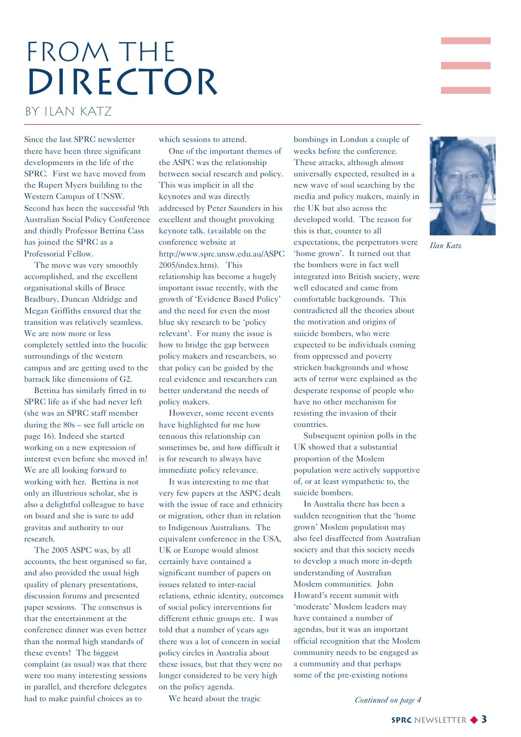## FROM THE DIRECTOR by Ilan Katz

Since the last SPRC newsletter there have been three significant developments in the life of the SPRC. First we have moved from the Rupert Myers building to the Western Campus of UNSW. Second has been the successful 9th Australian Social Policy Conference and thirdly Professor Bettina Cass has joined the SPRC as a Professorial Fellow.

The move was very smoothly accomplished, and the excellent organisational skills of Bruce Bradbury, Duncan Aldridge and Megan Griffiths ensured that the transition was relatively seamless. We are now more or less completely settled into the bucolic surroundings of the western campus and are getting used to the barrack like dimensions of G2.

Bettina has similarly fitted in to SPRC life as if she had never left (she was an SPRC staff member during the 80s – see full article on page 16). Indeed she started working on a new expression of interest even before she moved in! We are all looking forward to working with her. Bettina is not only an illustrious scholar, she is also a delightful colleague to have on board and she is sure to add gravitas and authority to our research.

The 2005 ASPC was, by all accounts, the best organised so far, and also provided the usual high quality of plenary presentations, discussion forums and presented paper sessions. The consensus is that the entertainment at the conference dinner was even better than the normal high standards of these events! The biggest complaint (as usual) was that there were too many interesting sessions in parallel, and therefore delegates had to make painful choices as to

which sessions to attend.

One of the important themes of the ASPC was the relationship between social research and policy. This was implicit in all the keynotes and was directly addressed by Peter Saunders in his excellent and thought provoking keynote talk. (available on the conference website at http://www.sprc.unsw.edu.au/ASPC 2005/index.htm). This relationship has become a hugely important issue recently, with the growth of 'Evidence Based Policy' and the need for even the most blue sky research to be 'policy relevant'. For many the issue is how to bridge the gap between policy makers and researchers, so that policy can be guided by the real evidence and researchers can better understand the needs of policy makers.

However, some recent events have highlighted for me how tenuous this relationship can sometimes be, and how difficult it is for research to always have immediate policy relevance.

It was interesting to me that very few papers at the ASPC dealt with the issue of race and ethnicity or migration, other than in relation to Indigenous Australians. The equivalent conference in the USA, UK or Europe would almost certainly have contained a significant number of papers on issues related to inter-racial relations, ethnic identity, outcomes of social policy interventions for different ethnic groups etc. I was told that a number of years ago there was a lot of concern in social policy circles in Australia about these issues, but that they were no longer considered to be very high on the policy agenda.

We heard about the tragic

bombings in London a couple of weeks before the conference. These attacks, although almost universally expected, resulted in a new wave of soul searching by the media and policy makers, mainly in the UK but also across the developed world. The reason for this is that, counter to all expectations, the perpetrators were 'home grown'. It turned out that the bombers were in fact well integrated into British society, were well educated and came from comfortable backgrounds. This contradicted all the theories about the motivation and origins of suicide bombers, who were expected to be individuals coming from oppressed and poverty stricken backgrounds and whose acts of terror were explained as the desperate response of people who have no other mechanism for resisting the invasion of their countries.

Subsequent opinion polls in the UK showed that a substantial proportion of the Moslem population were actively supportive of, or at least sympathetic to, the suicide bombers.

In Australia there has been a sudden recognition that the 'home grown' Moslem population may also feel disaffected from Australian society and that this society needs to develop a much more in-depth understanding of Australian Moslem communities. John Howard's recent summit with 'moderate' Moslem leaders may have contained a number of agendas, but it was an important official recognition that the Moslem community needs to be engaged as a community and that perhaps some of the pre-existing notions



*Ilan Katz*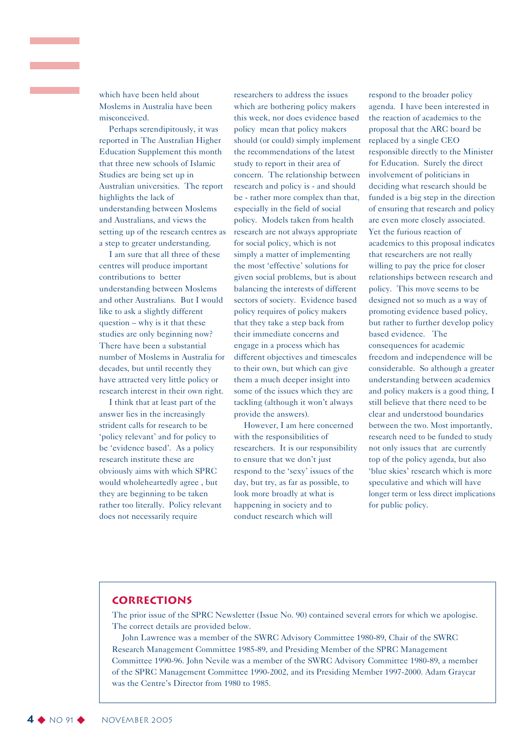which have been held about Moslems in Australia have been misconceived.

Perhaps serendipitously, it was reported in The Australian Higher Education Supplement this month that three new schools of Islamic Studies are being set up in Australian universities. The report highlights the lack of understanding between Moslems and Australians, and views the setting up of the research centres as a step to greater understanding.

I am sure that all three of these centres will produce important contributions to better understanding between Moslems and other Australians. But I would like to ask a slightly different question – why is it that these studies are only beginning now? There have been a substantial number of Moslems in Australia for decades, but until recently they have attracted very little policy or research interest in their own right.

I think that at least part of the answer lies in the increasingly strident calls for research to be 'policy relevant' and for policy to be 'evidence based'. As a policy research institute these are obviously aims with which SPRC would wholeheartedly agree , but they are beginning to be taken rather too literally. Policy relevant does not necessarily require

researchers to address the issues which are bothering policy makers this week, nor does evidence based policy mean that policy makers should (or could) simply implement the recommendations of the latest study to report in their area of concern. The relationship between research and policy is - and should be - rather more complex than that, especially in the field of social policy. Models taken from health research are not always appropriate for social policy, which is not simply a matter of implementing the most 'effective' solutions for given social problems, but is about balancing the interests of different sectors of society. Evidence based policy requires of policy makers that they take a step back from their immediate concerns and engage in a process which has different objectives and timescales to their own, but which can give them a much deeper insight into some of the issues which they are tackling (although it won't always provide the answers).

However, I am here concerned with the responsibilities of researchers. It is our responsibility to ensure that we don't just respond to the 'sexy' issues of the day, but try, as far as possible, to look more broadly at what is happening in society and to conduct research which will

respond to the broader policy agenda. I have been interested in the reaction of academics to the proposal that the ARC board be replaced by a single CEO responsible directly to the Minister for Education. Surely the direct involvement of politicians in deciding what research should be funded is a big step in the direction of ensuring that research and policy are even more closely associated. Yet the furious reaction of academics to this proposal indicates that researchers are not really willing to pay the price for closer relationships between research and policy. This move seems to be designed not so much as a way of promoting evidence based policy, but rather to further develop policy based evidence. The consequences for academic freedom and independence will be considerable. So although a greater understanding between academics and policy makers is a good thing, I still believe that there need to be clear and understood boundaries between the two. Most importantly, research need to be funded to study not only issues that are currently top of the policy agenda, but also 'blue skies' research which is more speculative and which will have longer term or less direct implications for public policy.

#### **Corrections**

The prior issue of the SPRC Newsletter (Issue No. 90) contained several errors for which we apologise. The correct details are provided below.

John Lawrence was a member of the SWRC Advisory Committee 1980-89, Chair of the SWRC Research Management Committee 1985-89, and Presiding Member of the SPRC Management Committee 1990-96. John Nevile was a member of the SWRC Advisory Committee 1980-89, a member of the SPRC Management Committee 1990-2002, and its Presiding Member 1997-2000. Adam Graycar was the Centre's Director from 1980 to 1985.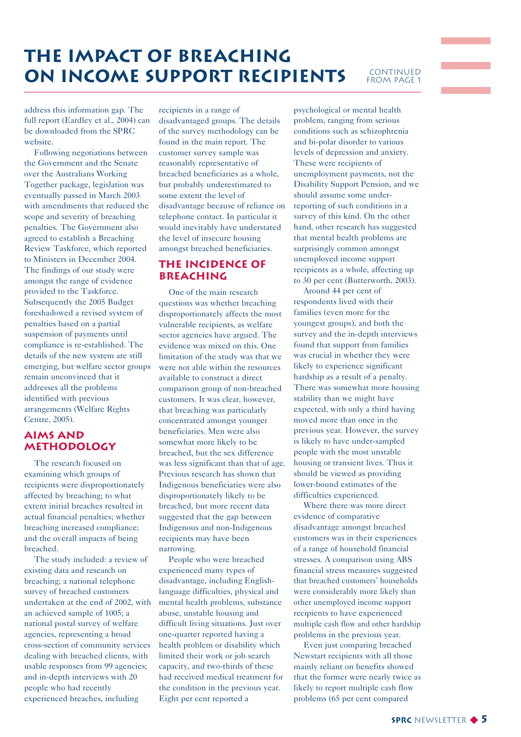### **The Impact of Breaching ON INCOME SUPPORT RECIPIENTS** CONTINUED

### FROM PAGE 1

address this information gap. The full report (Eardley et al., 2004) can be downloaded from the SPRC website.

Following negotiations between the Government and the Senate over the Australians Working Together package, legislation was eventually passed in March 2003 with amendments that reduced the scope and severity of breaching penalties. The Government also agreed to establish a Breaching Review Taskforce, which reported to Ministers in December 2004. The findings of our study were amongst the range of evidence provided to the Taskforce. Subsequently the 2005 Budget foreshadowed a revised system of penalties based on a partial suspension of payments until compliance is re-established. The details of the new system are still emerging, but welfare sector groups remain unconvinced that it addresses all the problems identified with previous arrangements (Welfare Rights Centre, 2005).

#### **Aims and methodology**

The research focused on examining which groups of recipients were disproportionately affected by breaching; to what extent initial breaches resulted in actual financial penalties; whether breaching increased compliance; and the overall impacts of being breached.

The study included: a review of existing data and research on breaching; a national telephone survey of breached customers undertaken at the end of 2002, with an achieved sample of 1005; a national postal survey of welfare agencies, representing a broad cross-section of community services dealing with breached clients, with usable responses from 99 agencies; and in-depth interviews with 20 people who had recently experienced breaches, including

recipients in a range of disadvantaged groups. The details of the survey methodology can be found in the main report. The customer survey sample was reasonably representative of breached beneficiaries as a whole, but probably underestimated to some extent the level of disadvantage because of reliance on telephone contact. In particular it would inevitably have understated the level of insecure housing amongst breached beneficiaries.

#### **The incidence of breaching**

One of the main research questions was whether breaching disproportionately affects the most vulnerable recipients, as welfare sector agencies have argued. The evidence was mixed on this. One limitation of the study was that we were not able within the resources available to construct a direct comparison group of non-breached customers. It was clear, however, that breaching was particularly concentrated amongst younger beneficiaries. Men were also somewhat more likely to be breached, but the sex difference was less significant than that of age. Previous research has shown that Indigenous beneficiaries were also disproportionately likely to be breached, but more recent data suggested that the gap between Indigenous and non-Indigenous recipients may have been narrowing.

People who were breached experienced many types of disadvantage, including Englishlanguage difficulties, physical and mental health problems, substance abuse, unstable housing and difficult living situations. Just over one-quarter reported having a health problem or disability which limited their work or job search capacity, and two-thirds of these had received medical treatment for the condition in the previous year. Eight per cent reported a

psychological or mental health problem, ranging from serious conditions such as schizophrenia and bi-polar disorder to various levels of depression and anxiety. These were recipients of unemployment payments, not the Disability Support Pension, and we should assume some underreporting of such conditions in a survey of this kind. On the other hand, other research has suggested that mental health problems are surprisingly common amongst unemployed income support recipients as a whole, affecting up to 30 per cent (Butterworth, 2003).

Around 44 per cent of respondents lived with their families (even more for the youngest groups), and both the survey and the in-depth interviews found that support from families was crucial in whether they were likely to experience significant hardship as a result of a penalty. There was somewhat more housing stability than we might have expected, with only a third having moved more than once in the previous year. However, the survey is likely to have under-sampled people with the most unstable housing or transient lives. Thus it should be viewed as providing lower-bound estimates of the difficulties experienced.

Where there was more direct evidence of comparative disadvantage amongst breached customers was in their experiences of a range of household financial stresses. A comparison using ABS financial stress measures suggested that breached customers' households were considerably more likely than other unemployed income support recipients to have experienced multiple cash flow and other hardship problems in the previous year.

Even just comparing breached Newstart recipients with all those mainly reliant on benefits showed that the former were nearly twice as likely to report multiple cash flow problems (65 per cent compared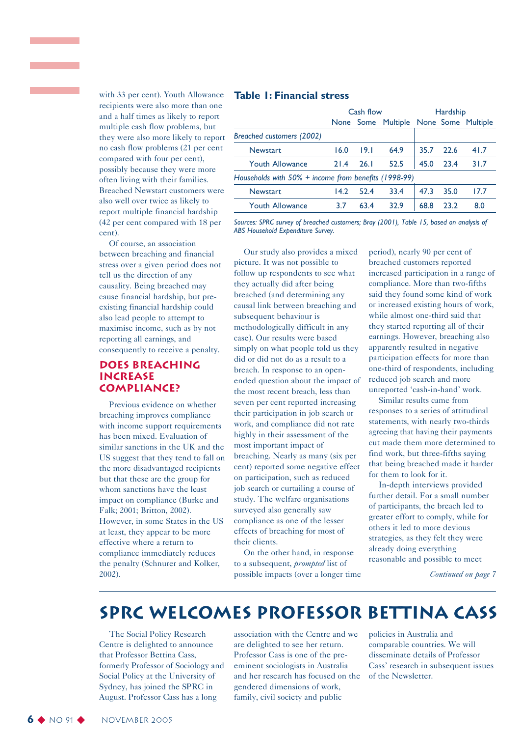with 33 per cent). Youth Allowance recipients were also more than one and a half times as likely to report multiple cash flow problems, but they were also more likely to report no cash flow problems (21 per cent compared with four per cent), possibly because they were more often living with their families. Breached Newstart customers were also well over twice as likely to report multiple financial hardship (42 per cent compared with 18 per cent).

Of course, an association between breaching and financial stress over a given period does not tell us the direction of any causality. Being breached may cause financial hardship, but preexisting financial hardship could also lead people to attempt to maximise income, such as by not reporting all earnings, and consequently to receive a penalty.

#### **Does breaching increase compliance?**

Previous evidence on whether breaching improves compliance with income support requirements has been mixed. Evaluation of similar sanctions in the UK and the US suggest that they tend to fall on the more disadvantaged recipients but that these are the group for whom sanctions have the least impact on compliance (Burke and Falk; 2001; Britton, 2002). However, in some States in the US at least, they appear to be more effective where a return to compliance immediately reduces the penalty (Schnurer and Kolker, 2002).

#### **Table 1: Financial stress**

|                                                         | Cash flow |      |                                       | Hardship |      |      |
|---------------------------------------------------------|-----------|------|---------------------------------------|----------|------|------|
|                                                         |           |      | None Some Multiple None Some Multiple |          |      |      |
| Breached customers (2002)                               |           |      |                                       |          |      |      |
| <b>Newstart</b>                                         | 16.0      | 191  | 64.9                                  | 35.7     | 226  | 41.7 |
| <b>Youth Allowance</b>                                  | 21.4      | 26.I | 52.5                                  | 45.0     | 23.4 | 31.7 |
| Households with $50\%$ + income from benefits (1998-99) |           |      |                                       |          |      |      |
| <b>Newstart</b>                                         | 14.2      | 524  | 33.4                                  | 47.3     | 35.0 | 17.7 |
| <b>Youth Allowance</b>                                  | 3.7       | 634  | 32.9                                  | 68.8     | 23.2 | 8.0  |

*Sources: SPRC survey of breached customers; Bray (2001), Table 15, based on analysis of ABS Household Expenditure Survey.*

Our study also provides a mixed picture. It was not possible to follow up respondents to see what they actually did after being breached (and determining any causal link between breaching and subsequent behaviour is methodologically difficult in any case). Our results were based simply on what people told us they did or did not do as a result to a breach. In response to an openended question about the impact of the most recent breach, less than seven per cent reported increasing their participation in job search or work, and compliance did not rate highly in their assessment of the most important impact of breaching. Nearly as many (six per cent) reported some negative effect on participation, such as reduced job search or curtailing a course of study. The welfare organisations surveyed also generally saw compliance as one of the lesser effects of breaching for most of their clients.

On the other hand, in response to a subsequent, *prompted* list of possible impacts (over a longer time

period), nearly 90 per cent of breached customers reported increased participation in a range of compliance. More than two-fifths said they found some kind of work or increased existing hours of work, while almost one-third said that they started reporting all of their earnings. However, breaching also apparently resulted in negative participation effects for more than one-third of respondents, including reduced job search and more unreported 'cash-in-hand' work.

Similar results came from responses to a series of attitudinal statements, with nearly two-thirds agreeing that having their payments cut made them more determined to find work, but three-fifths saying that being breached made it harder for them to look for it.

In-depth interviews provided further detail. For a small number of participants, the breach led to greater effort to comply, while for others it led to more devious strategies, as they felt they were already doing everything reasonable and possible to meet

*Continued on page 7*

### **SPRC Welcomes Professor Bettina Cass**

The Social Policy Research Centre is delighted to announce that Professor Bettina Cass, formerly Professor of Sociology and Social Policy at the University of Sydney, has joined the SPRC in August. Professor Cass has a long

association with the Centre and we are delighted to see her return. Professor Cass is one of the preeminent sociologists in Australia and her research has focused on the gendered dimensions of work, family, civil society and public

policies in Australia and comparable countries. We will disseminate details of Professor Cass' research in subsequent issues of the Newsletter.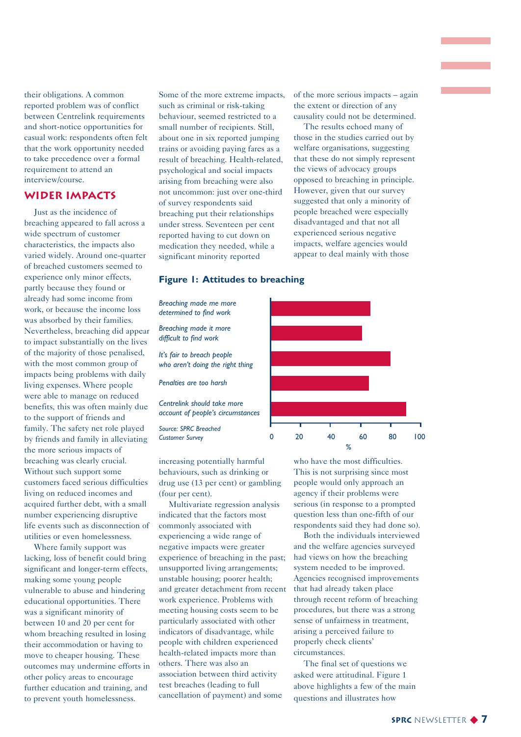their obligations. A common reported problem was of conflict between Centrelink requirements and short-notice opportunities for casual work: respondents often felt that the work opportunity needed to take precedence over a formal requirement to attend an interview/course.

#### **Wider impacts**

Just as the incidence of breaching appeared to fall across a wide spectrum of customer characteristics, the impacts also varied widely. Around one-quarter of breached customers seemed to experience only minor effects, partly because they found or already had some income from work, or because the income loss was absorbed by their families. Nevertheless, breaching did appear to impact substantially on the lives of the majority of those penalised, with the most common group of impacts being problems with daily living expenses. Where people were able to manage on reduced benefits, this was often mainly due to the support of friends and family. The safety net role played by friends and family in alleviating the more serious impacts of breaching was clearly crucial. Without such support some customers faced serious difficulties living on reduced incomes and acquired further debt, with a small number experiencing disruptive life events such as disconnection of utilities or even homelessness.

Where family support was lacking, loss of benefit could bring significant and longer-term effects, making some young people vulnerable to abuse and hindering educational opportunities. There was a significant minority of between 10 and 20 per cent for whom breaching resulted in losing their accommodation or having to move to cheaper housing. These outcomes may undermine efforts in other policy areas to encourage further education and training, and to prevent youth homelessness.

Some of the more extreme impacts, such as criminal or risk-taking behaviour, seemed restricted to a small number of recipients. Still, about one in six reported jumping trains or avoiding paying fares as a result of breaching. Health-related, psychological and social impacts arising from breaching were also not uncommon: just over one-third of survey respondents said breaching put their relationships under stress. Seventeen per cent reported having to cut down on medication they needed, while a significant minority reported

of the more serious impacts – again the extent or direction of any causality could not be determined.

The results echoed many of those in the studies carried out by welfare organisations, suggesting that these do not simply represent the views of advocacy groups opposed to breaching in principle. However, given that our survey suggested that only a minority of people breached were especially disadvantaged and that not all experienced serious negative impacts, welfare agencies would appear to deal mainly with those

#### **Figure 1: Attitudes to breaching**

*Breaching made me more determined to find work Breaching made it more difficult to find work*

*It's fair to breach people who aren't doing the right thing*

*Penalties are too harsh*

*Centrelink should take more account of people's circumstances*

*Source: SPRC Breached Customer Survey*

increasing potentially harmful behaviours, such as drinking or drug use (13 per cent) or gambling (four per cent).

Multivariate regression analysis indicated that the factors most commonly associated with experiencing a wide range of negative impacts were greater experience of breaching in the past; unsupported living arrangements; unstable housing; poorer health; and greater detachment from recent work experience. Problems with meeting housing costs seem to be particularly associated with other indicators of disadvantage, while people with children experienced health-related impacts more than others. There was also an association between third activity test breaches (leading to full cancellation of payment) and some



who have the most difficulties. This is not surprising since most people would only approach an agency if their problems were serious (in response to a prompted question less than one-fifth of our respondents said they had done so).

Both the individuals interviewed and the welfare agencies surveyed had views on how the breaching system needed to be improved. Agencies recognised improvements that had already taken place through recent reform of breaching procedures, but there was a strong sense of unfairness in treatment, arising a perceived failure to properly check clients' circumstances.

The final set of questions we asked were attitudinal. Figure 1 above highlights a few of the main questions and illustrates how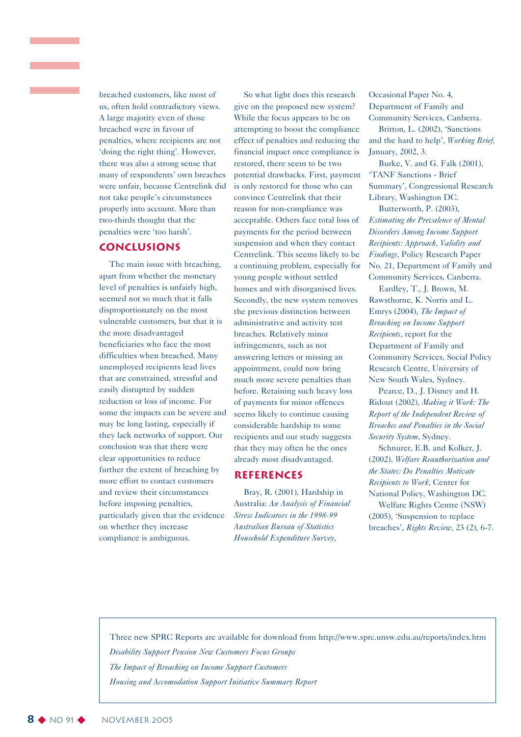breached customers, like most of us, often hold contradictory views. A large majority even of those breached were in favour of penalties, where recipients are not 'doing the right thing'. However, there was also a strong sense that many of respondents' own breaches were unfair, because Centrelink did not take people's circumstances properly into account. More than two-thirds thought that the penalties were 'too harsh'.

#### **Conclusions**

The main issue with breaching, apart from whether the monetary level of penalties is unfairly high, seemed not so much that it falls disproportionately on the most vulnerable customers, but that it is the more disadvantaged beneficiaries who face the most difficulties when breached. Many unemployed recipients lead lives that are constrained, stressful and easily disrupted by sudden reduction or loss of income. For some the impacts can be severe and may be long lasting, especially if they lack networks of support. Our conclusion was that there were clear opportunities to reduce further the extent of breaching by more effort to contact customers and review their circumstances before imposing penalties, particularly given that the evidence on whether they increase compliance is ambiguous.

So what light does this research give on the proposed new system? While the focus appears to be on attempting to boost the compliance effect of penalties and reducing the financial impact once compliance is restored, there seem to be two potential drawbacks. First, payment is only restored for those who can convince Centrelink that their reason for non-compliance was acceptable. Others face total loss of payments for the period between suspension and when they contact Centrelink. This seems likely to be a continuing problem, especially for young people without settled homes and with disorganised lives. Secondly, the new system removes the previous distinction between administrative and activity test breaches. Relatively minor infringements, such as not answering letters or missing an appointment, could now bring much more severe penalties than before. Retaining such heavy loss of payments for minor offences seems likely to continue causing considerable hardship to some recipients and our study suggests that they may often be the ones already most disadvantaged.

#### **References**

Bray, R. (2001), Hardship in Australia: *An Analysis of Financial Stress Indicators in the 1998-99 Australian Bureau of Statistics Household Expenditure Survey,*

Occasional Paper No. 4, Department of Family and Community Services, Canberra.

Britton, L. (2002), 'Sanctions and the hard to help', *Working Brief,* January, 2002, 3.

Burke, V. and G. Falk (2001), 'TANF Sanctions - Brief Summary', Congressional Research Library, Washington DC.

Butterworth, P. (2003), *Estimating the Prevalence of Mental Disorders Among Income Support Recipients: Approach, Validity and Findings,* Policy Research Paper No. 21, Department of Family and Community Services, Canberra.

Eardley, T., J. Brown, M. Rawsthorne, K. Norris and L. Emrys (2004), *The Impact of Breaching on Income Support Recipients,* report for the Department of Family and Community Services, Social Policy Research Centre, University of New South Wales, Sydney.

Pearce, D., J. Disney and H. Ridout (2002), *Making it Work: The Report of the Independent Review of Breaches and Penalties in the Social Security System,* Sydney.

Schnurer, E.B. and Kolker, J. (2002), *Welfare Reauthorization and the States: Do Penalties Motivate Recipients to Work,* Center for National Policy, Washington DC. Welfare Rights Centre (NSW) (2005), 'Suspension to replace breaches', *Rights Review,* 23 (2), 6-7.

Three new SPRC Reports are available for download from http://www.sprc.unsw.edu.au/reports/index.htm *Disability Support Pension New Customers Focus Groups The Impact of Breaching on Income Support Customers Housing and Accomodation Support Initiative Summary Report*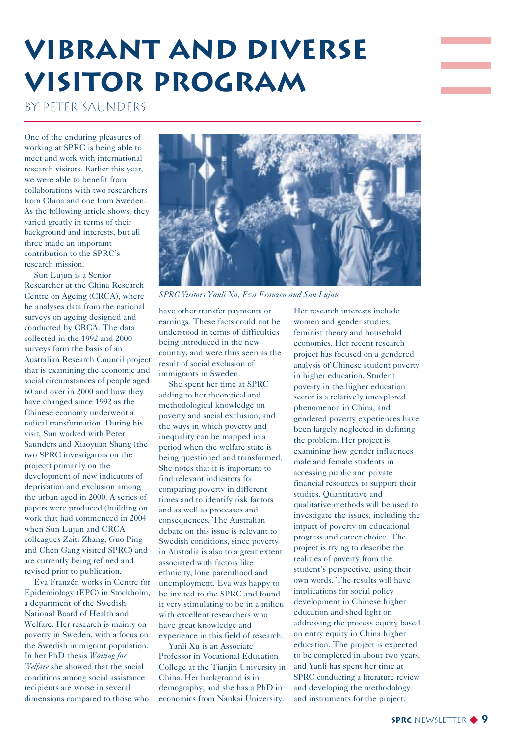## **Vibrant and diverse Visitor program**

#### By Peter Saunders

One of the enduring pleasures of working at SPRC is being able to meet and work with international research visitors. Earlier this year, we were able to benefit from collaborations with two researchers from China and one from Sweden. As the following article shows, they varied greatly in terms of their background and interests, but all three made an important contribution to the SPRC's research mission.

Sun Lujun is a Senior Researcher at the China Research Centre on Ageing (CRCA), where he analyses data from the national surveys on ageing designed and conducted by CRCA. The data collected in the 1992 and 2000 surveys form the basis of an Australian Research Council project that is examining the economic and social circumstances of people aged 60 and over in 2000 and how they have changed since 1992 as the Chinese economy underwent a radical transformation. During his visit, Sun worked with Peter Saunders and Xiaoyuan Shang (the two SPRC investigators on the project) primarily on the development of new indicators of deprivation and exclusion among the urban aged in 2000. A series of papers were produced (building on work that had commenced in 2004 when Sun Lujun and CRCA colleagues Zaiti Zhang, Guo Ping and Chen Gang visited SPRC) and are currently being refined and revised prior to publication.

Eva Franzén works in Centre for Epidemiology (EPC) in Stockholm, a department of the Swedish National Board of Health and Welfare. Her research is mainly on poverty in Sweden, with a focus on the Swedish immigrant population. In her PhD thesis *Waiting for Welfare* she showed that the social conditions among social assistance recipients are worse in several dimensions compared to those who



*SPRC Visitors Yanli Xu, Eva Franzen and Sun Lujun*

have other transfer payments or earnings. These facts could not be understood in terms of difficulties being introduced in the new country, and were thus seen as the result of social exclusion of immigrants in Sweden.

She spent her time at SPRC adding to her theoretical and methodological knowledge on poverty and social exclusion, and the ways in which poverty and inequality can be mapped in a period when the welfare state is being questioned and transformed. She notes that it is important to find relevant indicators for comparing poverty in different times and to identify risk factors and as well as processes and consequences. The Australian debate on this issue is relevant to Swedish conditions, since poverty in Australia is also to a great extent associated with factors like ethnicity, lone parenthood and unemployment. Eva was happy to be invited to the SPRC and found it very stimulating to be in a milieu with excellent researchers who have great knowledge and experience in this field of research.

Yanli Xu is an Associate Professor in Vocational Education College at the Tianjin University in China. Her background is in demography, and she has a PhD in economics from Nankai University.

Her research interests include women and gender studies, feminist theory and household economics. Her recent research project has focused on a gendered analysis of Chinese student poverty in higher education. Student poverty in the higher education sector is a relatively unexplored phenomenon in China, and gendered poverty experiences have been largely neglected in defining the problem. Her project is examining how gender influences male and female students in accessing public and private financial resources to support their studies. Quantitative and qualitative methods will be used to investigate the issues, including the impact of poverty on educational progress and career choice. The project is trying to describe the realities of poverty from the student's perspective, using their own words. The results will have implications for social policy development in Chinese higher education and shed light on addressing the process equity based on entry equity in China higher education. The project is expected to be completed in about two years, and Yanli has spent her time at SPRC conducting a literature review and developing the methodology and instruments for the project.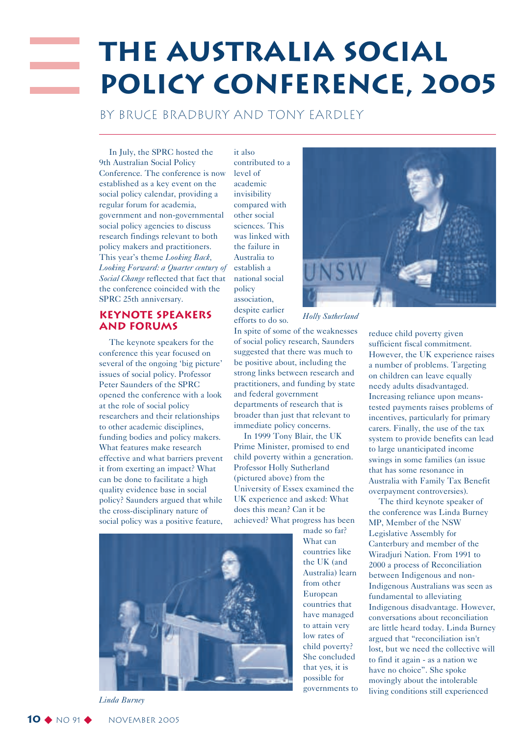## **The Australia Social Policy Conference, 2005**

By Bruce Bradbury and Tony Eardley

In July, the SPRC hosted the 9th Australian Social Policy Conference. The conference is now established as a key event on the social policy calendar, providing a regular forum for academia, government and non-governmental social policy agencies to discuss research findings relevant to both policy makers and practitioners. This year's theme *Looking Back, Looking Forward: a Quarter century of Social Change* reflected that fact that the conference coincided with the SPRC 25th anniversary.

#### **Keynote speakers and forums**

The keynote speakers for the conference this year focused on several of the ongoing 'big picture' issues of social policy. Professor Peter Saunders of the SPRC opened the conference with a look at the role of social policy researchers and their relationships to other academic disciplines, funding bodies and policy makers. What features make research effective and what barriers prevent it from exerting an impact? What can be done to facilitate a high quality evidence base in social policy? Saunders argued that while the cross-disciplinary nature of social policy was a positive feature,

it also contributed to a level of academic invisibility compared with other social sciences. This was linked with the failure in Australia to establish a national social policy association, despite earlier efforts to do so.

In spite of some of the weaknesses of social policy research, Saunders suggested that there was much to be positive about, including the strong links between research and practitioners, and funding by state and federal government departments of research that is broader than just that relevant to immediate policy concerns.

In 1999 Tony Blair, the UK Prime Minister, promised to end child poverty within a generation. Professor Holly Sutherland (pictured above) from the University of Essex examined the UK experience and asked: What does this mean? Can it be achieved? What progress has been



made so far? What can countries like the UK (and Australia) learn from other European countries that have managed to attain very low rates of child poverty? She concluded that yes, it is possible for governments to



*Holly Sutherland*

reduce child poverty given sufficient fiscal commitment. However, the UK experience raises a number of problems. Targeting on children can leave equally needy adults disadvantaged. Increasing reliance upon meanstested payments raises problems of incentives, particularly for primary carers. Finally, the use of the tax system to provide benefits can lead to large unanticipated income swings in some families (an issue that has some resonance in Australia with Family Tax Benefit overpayment controversies).

The third keynote speaker of the conference was Linda Burney MP, Member of the NSW Legislative Assembly for Canterbury and member of the Wiradjuri Nation. From 1991 to 2000 a process of Reconciliation between Indigenous and non-Indigenous Australians was seen as fundamental to alleviating Indigenous disadvantage. However, conversations about reconciliation are little heard today. Linda Burney argued that "reconciliation isn't lost, but we need the collective will to find it again - as a nation we have no choice". She spoke movingly about the intolerable living conditions still experienced

*Linda Burney*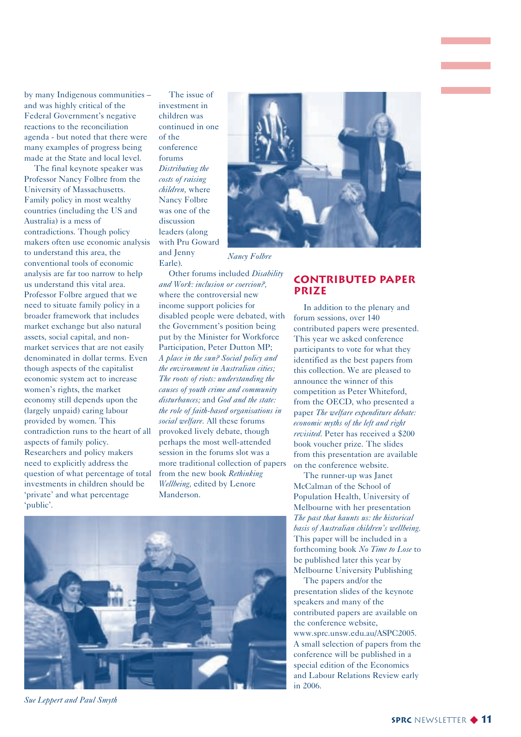by many Indigenous communities – and was highly critical of the Federal Government's negative reactions to the reconciliation agenda - but noted that there were many examples of progress being made at the State and local level.

The final keynote speaker was Professor Nancy Folbre from the University of Massachusetts. Family policy in most wealthy countries (including the US and Australia) is a mess of contradictions. Though policy makers often use economic analysis to understand this area, the conventional tools of economic analysis are far too narrow to help us understand this vital area. Professor Folbre argued that we need to situate family policy in a broader framework that includes market exchange but also natural assets, social capital, and nonmarket services that are not easily denominated in dollar terms. Even though aspects of the capitalist economic system act to increase women's rights, the market economy still depends upon the (largely unpaid) caring labour provided by women. This contradiction runs to the heart of all aspects of family policy. Researchers and policy makers need to explicitly address the question of what percentage of total investments in children should be 'private' and what percentage 'public'.

The issue of investment in children was continued in one of the conference forums *Distributing the costs of raising children,* where Nancy Folbre was one of the discussion leaders (along with Pru Goward

and Jenny Earle).

Other forums included *Disability and Work: inclusion or coercion?,* where the controversial new income support policies for disabled people were debated, with the Government's position being put by the Minister for Workforce Participation, Peter Dutton MP; *A place in the sun? Social policy and the environment in Australian cities; The roots of riots: understanding the causes of youth crime and community disturbances;* and *God and the state: the role of faith-based organisations in social welfare.* All these forums provoked lively debate, though perhaps the most well-attended session in the forums slot was a more traditional collection of papers from the new book *Rethinking Wellbeing,* edited by Lenore Manderson.



#### *Nancy Folbre*

#### **Contributed paper prize**

In addition to the plenary and forum sessions, over 140 contributed papers were presented. This year we asked conference participants to vote for what they identified as the best papers from this collection. We are pleased to announce the winner of this competition as Peter Whiteford, from the OECD, who presented a paper *The welfare expenditure debate: economic myths of the left and right revisited.* Peter has received a \$200 book voucher prize. The slides from this presentation are available on the conference website.

The runner-up was Janet McCalman of the School of Population Health, University of Melbourne with her presentation *The past that haunts us: the historical basis of Australian children's wellbeing.* This paper will be included in a forthcoming book *No Time to Lose* to be published later this year by Melbourne University Publishing

The papers and/or the presentation slides of the keynote speakers and many of the contributed papers are available on the conference website, www.sprc.unsw.edu.au/ASPC2005. A small selection of papers from the conference will be published in a special edition of the Economics and Labour Relations Review early in 2006.

*Sue Leppert and Paul Smyth*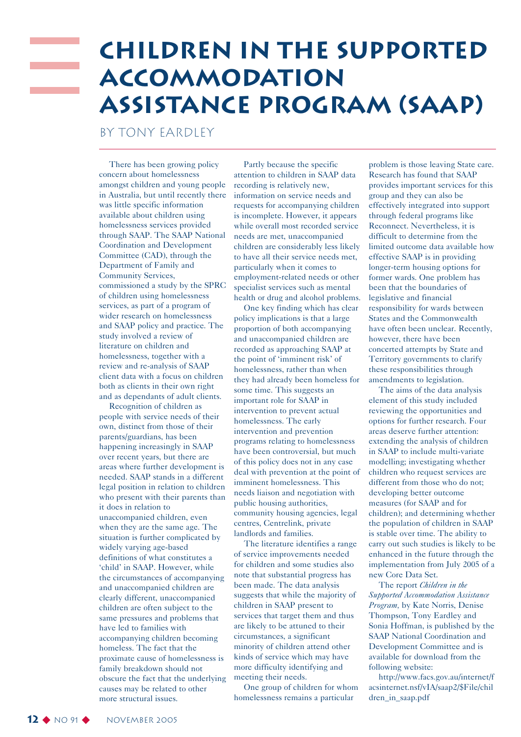## **Children in the Supported Accommodation Assistance Program (SAAP)**

By Tony Eardley

There has been growing policy concern about homelessness amongst children and young people in Australia, but until recently there was little specific information available about children using homelessness services provided through SAAP. The SAAP National Coordination and Development Committee (CAD), through the Department of Family and Community Services, commissioned a study by the SPRC of children using homelessness services, as part of a program of wider research on homelessness and SAAP policy and practice. The study involved a review of literature on children and homelessness, together with a review and re-analysis of SAAP client data with a focus on children both as clients in their own right and as dependants of adult clients.

Recognition of children as people with service needs of their own, distinct from those of their parents/guardians, has been happening increasingly in SAAP over recent years, but there are areas where further development is needed. SAAP stands in a different legal position in relation to children who present with their parents than it does in relation to unaccompanied children, even when they are the same age. The situation is further complicated by widely varying age-based definitions of what constitutes a 'child' in SAAP. However, while the circumstances of accompanying and unaccompanied children are clearly different, unaccompanied children are often subject to the same pressures and problems that have led to families with accompanying children becoming homeless. The fact that the proximate cause of homelessness is family breakdown should not obscure the fact that the underlying causes may be related to other more structural issues.

Partly because the specific attention to children in SAAP data recording is relatively new, information on service needs and requests for accompanying children is incomplete. However, it appears while overall most recorded service needs are met, unaccompanied children are considerably less likely to have all their service needs met, particularly when it comes to employment-related needs or other specialist services such as mental health or drug and alcohol problems.

One key finding which has clear policy implications is that a large proportion of both accompanying and unaccompanied children are recorded as approaching SAAP at the point of 'imminent risk' of homelessness, rather than when they had already been homeless for some time. This suggests an important role for SAAP in intervention to prevent actual homelessness. The early intervention and prevention programs relating to homelessness have been controversial, but much of this policy does not in any case deal with prevention at the point of imminent homelessness. This needs liaison and negotiation with public housing authorities, community housing agencies, legal centres, Centrelink, private landlords and families.

The literature identifies a range of service improvements needed for children and some studies also note that substantial progress has been made. The data analysis suggests that while the majority of children in SAAP present to services that target them and thus are likely to be attuned to their circumstances, a significant minority of children attend other kinds of service which may have more difficulty identifying and meeting their needs.

One group of children for whom homelessness remains a particular

problem is those leaving State care. Research has found that SAAP provides important services for this group and they can also be effectively integrated into support through federal programs like Reconnect. Nevertheless, it is difficult to determine from the limited outcome data available how effective SAAP is in providing longer-term housing options for former wards. One problem has been that the boundaries of legislative and financial responsibility for wards between States and the Commonwealth have often been unclear. Recently, however, there have been concerted attempts by State and Territory governments to clarify these responsibilities through amendments to legislation.

The aims of the data analysis element of this study included reviewing the opportunities and options for further research. Four areas deserve further attention: extending the analysis of children in SAAP to include multi-variate modelling; investigating whether children who request services are different from those who do not; developing better outcome measures (for SAAP and for children); and determining whether the population of children in SAAP is stable over time. The ability to carry out such studies is likely to be enhanced in the future through the implementation from July 2005 of a new Core Data Set.

The report *Children in the Supported Accommodation Assistance Program,* by Kate Norris, Denise Thompson, Tony Eardley and Sonia Hoffman, is published by the SAAP National Coordination and Development Committee and is available for download from the following website:

http://www.facs.gov.au/internet/f acsinternet.nsf/vIA/saap2/\$File/chil dren\_in\_saap.pdf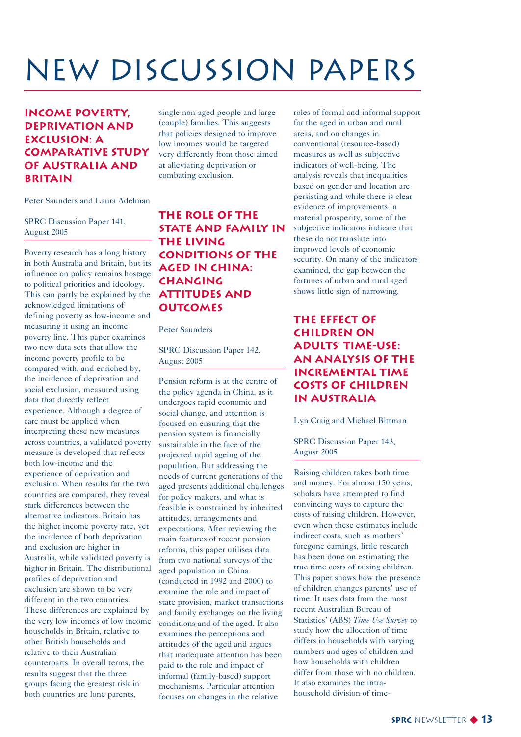## NEW Discussion Papers

#### **Income Poverty, Deprivation and Exclusion: A Comparative Study of Australia and Britain**

Peter Saunders and Laura Adelman

SPRC Discussion Paper 141, August 2005

Poverty research has a long history in both Australia and Britain, but its influence on policy remains hostage to political priorities and ideology. This can partly be explained by the acknowledged limitations of defining poverty as low-income and measuring it using an income poverty line. This paper examines two new data sets that allow the income poverty profile to be compared with, and enriched by, the incidence of deprivation and social exclusion, measured using data that directly reflect experience. Although a degree of care must be applied when interpreting these new measures across countries, a validated poverty measure is developed that reflects both low-income and the experience of deprivation and exclusion. When results for the two countries are compared, they reveal stark differences between the alternative indicators. Britain has the higher income poverty rate, yet the incidence of both deprivation and exclusion are higher in Australia, while validated poverty is higher in Britain. The distributional profiles of deprivation and exclusion are shown to be very different in the two countries. These differences are explained by the very low incomes of low income households in Britain, relative to other British households and relative to their Australian counterparts. In overall terms, the results suggest that the three groups facing the greatest risk in both countries are lone parents,

single non-aged people and large (couple) families. This suggests that policies designed to improve low incomes would be targeted very differently from those aimed at alleviating deprivation or combating exclusion.

**The Role of the STATE AND FAMILY IN the Living Conditions of the Aged in China: Changing Attitudes and Outcomes**

Peter Saunders

SPRC Discussion Paper 142, August 2005

Pension reform is at the centre of the policy agenda in China, as it undergoes rapid economic and social change, and attention is focused on ensuring that the pension system is financially sustainable in the face of the projected rapid ageing of the population. But addressing the needs of current generations of the aged presents additional challenges for policy makers, and what is feasible is constrained by inherited attitudes, arrangements and expectations. After reviewing the main features of recent pension reforms, this paper utilises data from two national surveys of the aged population in China (conducted in 1992 and 2000) to examine the role and impact of state provision, market transactions and family exchanges on the living conditions and of the aged. It also examines the perceptions and attitudes of the aged and argues that inadequate attention has been paid to the role and impact of informal (family-based) support mechanisms. Particular attention focuses on changes in the relative

roles of formal and informal support for the aged in urban and rural areas, and on changes in conventional (resource-based) measures as well as subjective indicators of well-being. The analysis reveals that inequalities based on gender and location are persisting and while there is clear evidence of improvements in material prosperity, some of the subjective indicators indicate that these do not translate into improved levels of economic security. On many of the indicators examined, the gap between the fortunes of urban and rural aged shows little sign of narrowing.

#### **The Effect of Children on Adults' Time-use: An Analysis of the Incremental Time Costs of Children in Australia**

Lyn Craig and Michael Bittman

SPRC Discussion Paper 143, August 2005

Raising children takes both time and money. For almost 150 years, scholars have attempted to find convincing ways to capture the costs of raising children. However, even when these estimates include indirect costs, such as mothers' foregone earnings, little research has been done on estimating the true time costs of raising children. This paper shows how the presence of children changes parents' use of time. It uses data from the most recent Australian Bureau of Statistics' (ABS) *Time Use Survey* to study how the allocation of time differs in households with varying numbers and ages of children and how households with children differ from those with no children. It also examines the intrahousehold division of time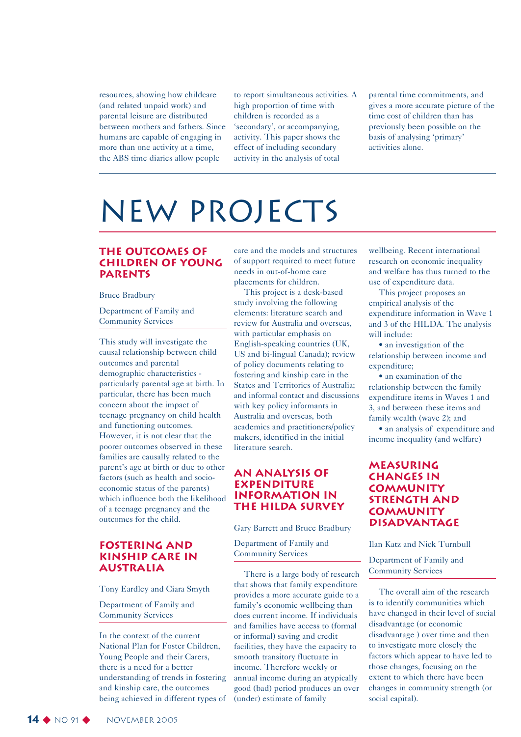resources, showing how childcare (and related unpaid work) and parental leisure are distributed between mothers and fathers. Since humans are capable of engaging in more than one activity at a time, the ABS time diaries allow people

to report simultaneous activities. A high proportion of time with children is recorded as a 'secondary', or accompanying, activity. This paper shows the effect of including secondary activity in the analysis of total

parental time commitments, and gives a more accurate picture of the time cost of children than has previously been possible on the basis of analysing 'primary' activities alone.

## New Projects

#### **The Outcomes of Children of Young Parents**

Bruce Bradbury

Department of Family and Community Services

This study will investigate the causal relationship between child outcomes and parental demographic characteristics particularly parental age at birth. In particular, there has been much concern about the impact of teenage pregnancy on child health and functioning outcomes. However, it is not clear that the poorer outcomes observed in these families are causally related to the parent's age at birth or due to other factors (such as health and socioeconomic status of the parents) which influence both the likelihood of a teenage pregnancy and the outcomes for the child.

#### **Fostering and Kinship Care in Australia**

Tony Eardley and Ciara Smyth

Department of Family and Community Services

In the context of the current National Plan for Foster Children, Young People and their Carers, there is a need for a better understanding of trends in fostering and kinship care, the outcomes being achieved in different types of care and the models and structures of support required to meet future needs in out-of-home care placements for children.

This project is a desk-based study involving the following elements: literature search and review for Australia and overseas, with particular emphasis on English-speaking countries (UK, US and bi-lingual Canada); review of policy documents relating to fostering and kinship care in the States and Territories of Australia; and informal contact and discussions with key policy informants in Australia and overseas, both academics and practitioners/policy makers, identified in the initial literature search.

#### **An Analysis of Expenditure Information in the HILDA Survey**

Gary Barrett and Bruce Bradbury

Department of Family and Community Services

There is a large body of research that shows that family expenditure provides a more accurate guide to a family's economic wellbeing than does current income. If individuals and families have access to (formal or informal) saving and credit facilities, they have the capacity to smooth transitory fluctuate in income. Therefore weekly or annual income during an atypically good (bad) period produces an over (under) estimate of family

wellbeing. Recent international research on economic inequality and welfare has thus turned to the use of expenditure data.

This project proposes an empirical analysis of the expenditure information in Wave 1 and 3 of the HILDA. The analysis will include:

• an investigation of the relationship between income and expenditure;

• an examination of the relationship between the family expenditure items in Waves 1 and 3, and between these items and family wealth (wave 2); and

• an analysis of expenditure and income inequality (and welfare)

#### **Measuring Changes in Community Strength and Community Disadvantage**

Ilan Katz and Nick Turnbull

Department of Family and Community Services

The overall aim of the research is to identify communities which have changed in their level of social disadvantage (or economic disadvantage ) over time and then to investigate more closely the factors which appear to have led to those changes, focusing on the extent to which there have been changes in community strength (or social capital).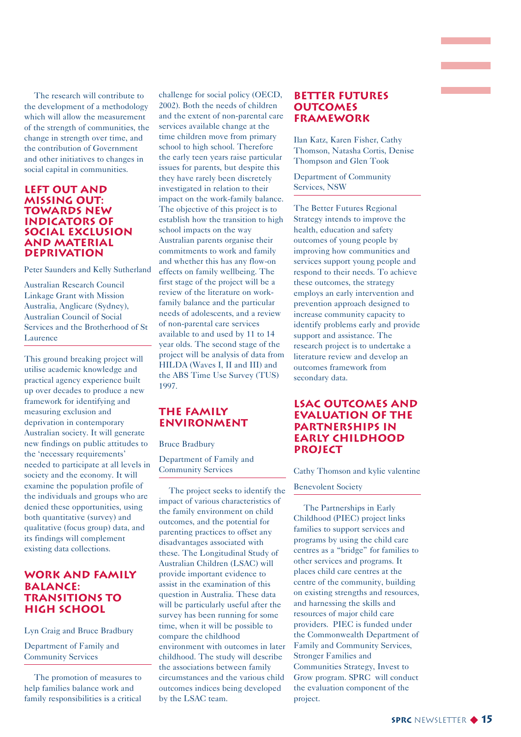The research will contribute to the development of a methodology which will allow the measurement of the strength of communities, the change in strength over time, and the contribution of Government and other initiatives to changes in social capital in communities.

#### **Left Out and Missing Out: Towards New Indicators of Social Exclusion and Material Deprivation**

Peter Saunders and Kelly Sutherland

Australian Research Council Linkage Grant with Mission Australia, Anglicare (Sydney), Australian Council of Social Services and the Brotherhood of St Laurence

This ground breaking project will utilise academic knowledge and practical agency experience built up over decades to produce a new framework for identifying and measuring exclusion and deprivation in contemporary Australian society. It will generate new findings on public attitudes to the 'necessary requirements' needed to participate at all levels in society and the economy. It will examine the population profile of the individuals and groups who are denied these opportunities, using both quantitative (survey) and qualitative (focus group) data, and its findings will complement existing data collections.

#### **Work and Family Balance: Transitions to High School**

Lyn Craig and Bruce Bradbury

Department of Family and Community Services

The promotion of measures to help families balance work and family responsibilities is a critical challenge for social policy (OECD, 2002). Both the needs of children and the extent of non-parental care services available change at the time children move from primary school to high school. Therefore the early teen years raise particular issues for parents, but despite this they have rarely been discretely investigated in relation to their impact on the work-family balance. The objective of this project is to establish how the transition to high school impacts on the way Australian parents organise their commitments to work and family and whether this has any flow-on effects on family wellbeing. The first stage of the project will be a review of the literature on workfamily balance and the particular needs of adolescents, and a review of non-parental care services available to and used by 11 to 14 year olds. The second stage of the project will be analysis of data from HILDA (Waves I, II and III) and the ABS Time Use Survey (TUS) 1997.

#### **the Family ENVIRONMENT**

Bruce Bradbury

Department of Family and Community Services

The project seeks to identify the impact of various characteristics of the family environment on child outcomes, and the potential for parenting practices to offset any disadvantages associated with these. The Longitudinal Study of Australian Children (LSAC) will provide important evidence to assist in the examination of this question in Australia. These data will be particularly useful after the survey has been running for some time, when it will be possible to compare the childhood environment with outcomes in later childhood. The study will describe the associations between family circumstances and the various child outcomes indices being developed by the LSAC team.

#### **Better Futures Outcomes Framework**

Ilan Katz, Karen Fisher, Cathy Thomson, Natasha Cortis, Denise Thompson and Glen Took

Department of Community Services, NSW

The Better Futures Regional Strategy intends to improve the health, education and safety outcomes of young people by improving how communities and services support young people and respond to their needs. To achieve these outcomes, the strategy employs an early intervention and prevention approach designed to increase community capacity to identify problems early and provide support and assistance. The research project is to undertake a literature review and develop an outcomes framework from secondary data.

#### **LSAC Outcomes and Evaluation of the Partnerships in Early Childhood Project**

Cathy Thomson and kylie valentine

#### Benevolent Society

The Partnerships in Early Childhood (PIEC) project links families to support services and programs by using the child care centres as a "bridge" for families to other services and programs. It places child care centres at the centre of the community, building on existing strengths and resources, and harnessing the skills and resources of major child care providers. PIEC is funded under the Commonwealth Department of Family and Community Services, Stronger Families and Communities Strategy, Invest to Grow program. SPRC will conduct the evaluation component of the project.